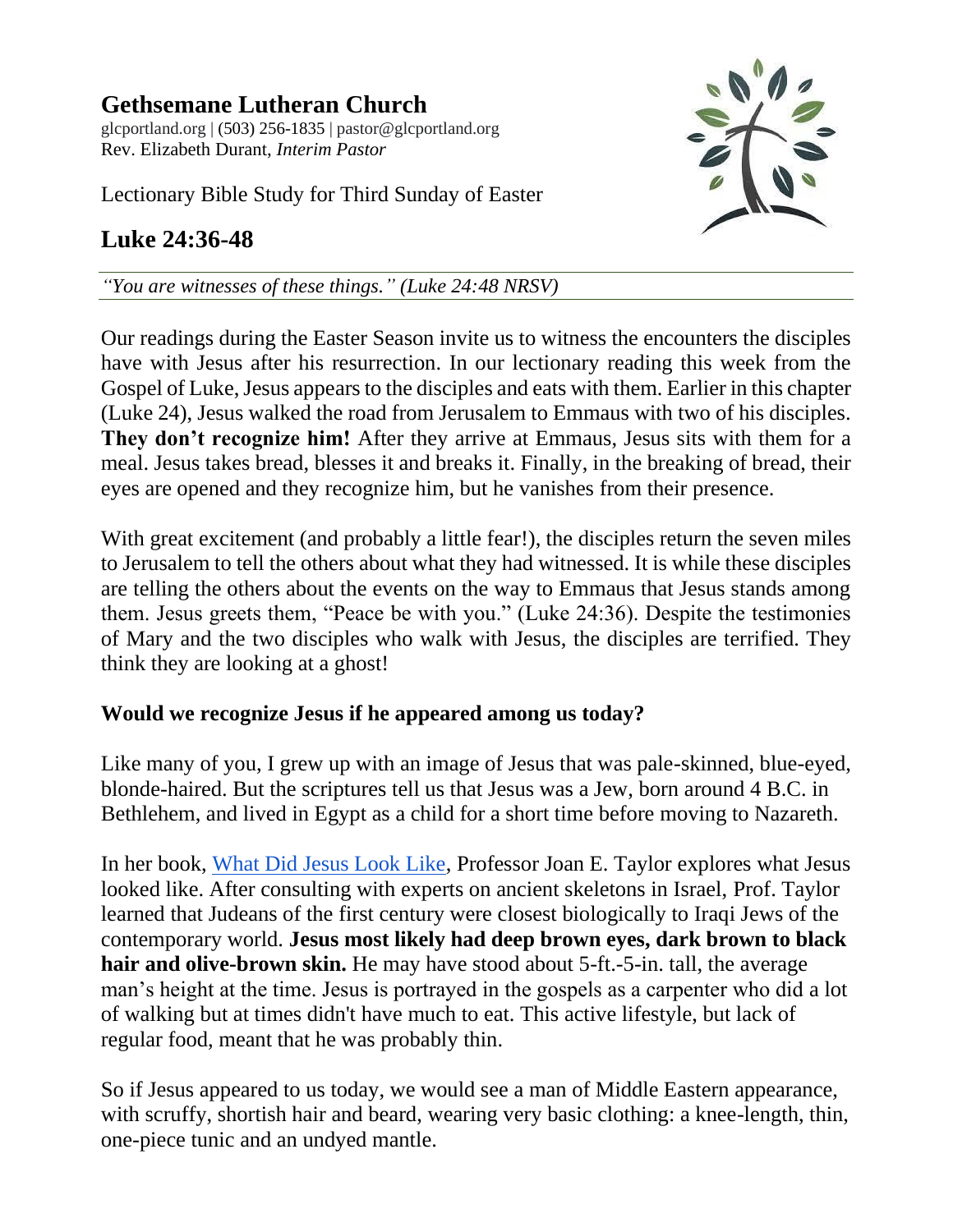**Gethsemane Lutheran Church** glcportland.org | (503) 256-1835 | pastor@glcportland.org Rev. Elizabeth Durant, *Interim Pastor*

Lectionary Bible Study for Third Sunday of Easter

## **Luke 24:36-48**



*"You are witnesses of these things." (Luke 24:48 NRSV)*

Our readings during the Easter Season invite us to witness the encounters the disciples have with Jesus after his resurrection. In our lectionary reading this week from the Gospel of Luke, Jesus appears to the disciples and eats with them. Earlier in this chapter (Luke 24), Jesus walked the road from Jerusalem to Emmaus with two of his disciples. **They don't recognize him!** After they arrive at Emmaus, Jesus sits with them for a meal. Jesus takes bread, blesses it and breaks it. Finally, in the breaking of bread, their eyes are opened and they recognize him, but he vanishes from their presence.

With great excitement (and probably a little fear!), the disciples return the seven miles to Jerusalem to tell the others about what they had witnessed. It is while these disciples are telling the others about the events on the way to Emmaus that Jesus stands among them. Jesus greets them, "Peace be with you." (Luke 24:36). Despite the testimonies of Mary and the two disciples who walk with Jesus, the disciples are terrified. They think they are looking at a ghost!

## **Would we recognize Jesus if he appeared among us today?**

Like many of you, I grew up with an image of Jesus that was pale-skinned, blue-eyed, blonde-haired. But the scriptures tell us that Jesus was a Jew, born around 4 B.C. in Bethlehem, and lived in Egypt as a child for a short time before moving to Nazareth.

In her book, [What Did Jesus Look Like,](https://www.christiantoday.com/article/what-did-the-real-jesus-look-like-and-what-did-he-wear/128888.htm) Professor Joan E. Taylor explores what Jesus looked like. After consulting with experts on ancient skeletons in Israel, Prof. Taylor learned that Judeans of the first century were closest biologically to Iraqi Jews of the contemporary world. **Jesus most likely had deep brown eyes, dark brown to black hair and olive-brown skin.** He may have stood about 5-ft.-5-in. tall, the average man's height at the time. Jesus is portrayed in the gospels as a carpenter who did a lot of walking but at times didn't have much to eat. This active lifestyle, but lack of regular food, meant that he was probably thin.

So if Jesus appeared to us today, we would see a man of Middle Eastern appearance, with scruffy, shortish hair and beard, wearing very basic clothing: a knee-length, thin, one-piece tunic and an undyed mantle.